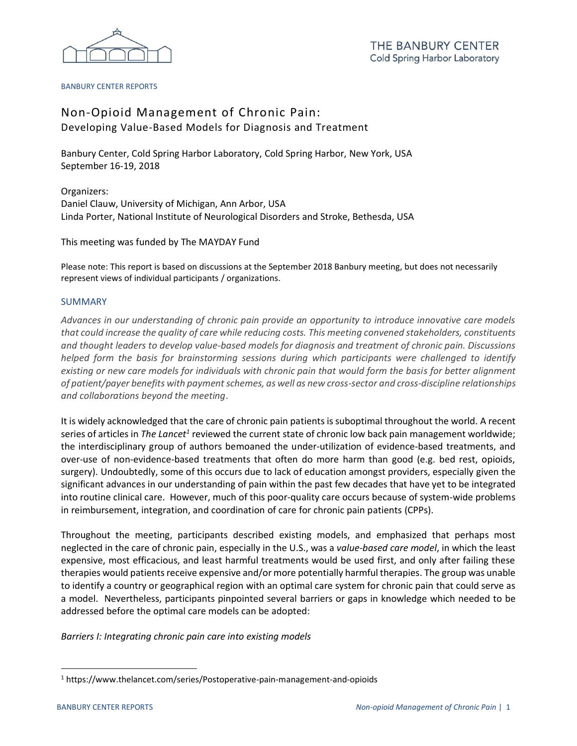

## BANBURY CENTER REPORTS

# Non-Opioid Management of Chronic Pain: Developing Value-Based Models for Diagnosis and Treatment

Banbury Center, Cold Spring Harbor Laboratory, Cold Spring Harbor, New York, USA September 16-19, 2018

Organizers: Daniel Clauw, University of Michigan, Ann Arbor, USA Linda Porter, National Institute of Neurological Disorders and Stroke, Bethesda, USA

This meeting was funded by The MAYDAY Fund

Please note: This report is based on discussions at the September 2018 Banbury meeting, but does not necessarily represent views of individual participants / organizations.

## SUMMARY

*Advances in our understanding of chronic pain provide an opportunity to introduce innovative care models that could increase the quality of care while reducing costs. This meeting convened stakeholders, constituents and thought leaders to develop value-based models for diagnosis and treatment of chronic pain. Discussions helped form the basis for brainstorming sessions during which participants were challenged to identify existing or new care models for individuals with chronic pain that would form the basis for better alignment of patient/payer benefits with payment schemes, as well as new cross-sector and cross-discipline relationships and collaborations beyond the meeting*.

It is widely acknowledged that the care of chronic pain patients is suboptimal throughout the world. A recent series of articles in *The Lancet<sup>1</sup>* reviewed the current state of chronic low back pain management worldwide; the interdisciplinary group of authors bemoaned the under-utilization of evidence-based treatments, and over-use of non-evidence-based treatments that often do more harm than good (e.g. bed rest, opioids, surgery). Undoubtedly, some of this occurs due to lack of education amongst providers, especially given the significant advances in our understanding of pain within the past few decades that have yet to be integrated into routine clinical care. However, much of this poor-quality care occurs because of system-wide problems in reimbursement, integration, and coordination of care for chronic pain patients (CPPs).

Throughout the meeting, participants described existing models, and emphasized that perhaps most neglected in the care of chronic pain, especially in the U.S., was a *value-based care model*, in which the least expensive, most efficacious, and least harmful treatments would be used first, and only after failing these therapies would patients receive expensive and/or more potentially harmful therapies. The group was unable to identify a country or geographical region with an optimal care system for chronic pain that could serve as a model. Nevertheless, participants pinpointed several barriers or gaps in knowledge which needed to be addressed before the optimal care models can be adopted:

*Barriers I: Integrating chronic pain care into existing models*

 $\overline{a}$ 

<sup>1</sup> https://www.thelancet.com/series/Postoperative-pain-management-and-opioids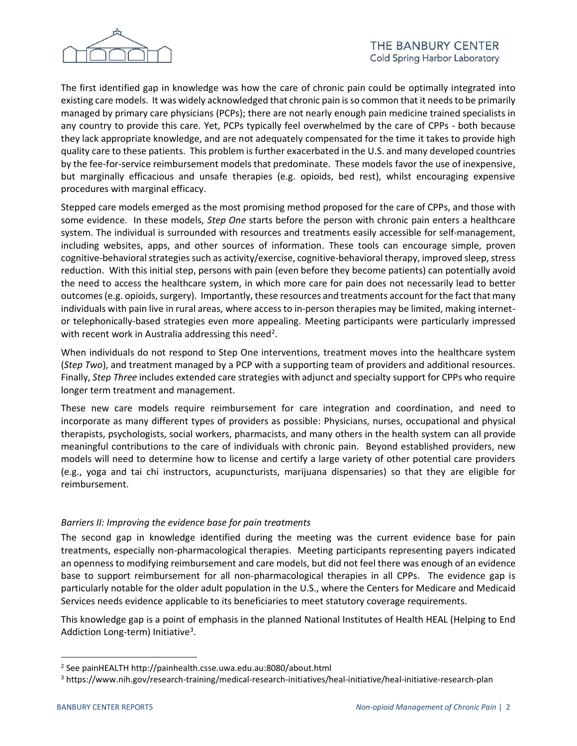

The first identified gap in knowledge was how the care of chronic pain could be optimally integrated into existing care models. It was widely acknowledged that chronic pain is so common that it needs to be primarily managed by primary care physicians (PCPs); there are not nearly enough pain medicine trained specialists in any country to provide this care. Yet, PCPs typically feel overwhelmed by the care of CPPs - both because they lack appropriate knowledge, and are not adequately compensated for the time it takes to provide high quality care to these patients. This problem is further exacerbated in the U.S. and many developed countries by the fee-for-service reimbursement models that predominate. These models favor the use of inexpensive, but marginally efficacious and unsafe therapies (e.g. opioids, bed rest), whilst encouraging expensive procedures with marginal efficacy.

Stepped care models emerged as the most promising method proposed for the care of CPPs, and those with some evidence. In these models, *Step One* starts before the person with chronic pain enters a healthcare system. The individual is surrounded with resources and treatments easily accessible for self-management, including websites, apps, and other sources of information. These tools can encourage simple, proven cognitive-behavioral strategies such as activity/exercise, cognitive-behavioral therapy, improved sleep, stress reduction. With this initial step, persons with pain (even before they become patients) can potentially avoid the need to access the healthcare system, in which more care for pain does not necessarily lead to better outcomes (e.g. opioids, surgery). Importantly, these resources and treatments account for the fact that many individuals with pain live in rural areas, where access to in-person therapies may be limited, making internetor telephonically-based strategies even more appealing. Meeting participants were particularly impressed with recent work in Australia addressing this need<sup>2</sup>.

When individuals do not respond to Step One interventions, treatment moves into the healthcare system (*Step Two*), and treatment managed by a PCP with a supporting team of providers and additional resources. Finally, *Step Three* includes extended care strategies with adjunct and specialty support for CPPs who require longer term treatment and management.

These new care models require reimbursement for care integration and coordination, and need to incorporate as many different types of providers as possible: Physicians, nurses, occupational and physical therapists, psychologists, social workers, pharmacists, and many others in the health system can all provide meaningful contributions to the care of individuals with chronic pain. Beyond established providers, new models will need to determine how to license and certify a large variety of other potential care providers (e.g., yoga and tai chi instructors, acupuncturists, marijuana dispensaries) so that they are eligible for reimbursement.

# *Barriers II: Improving the evidence base for pain treatments*

The second gap in knowledge identified during the meeting was the current evidence base for pain treatments, especially non-pharmacological therapies. Meeting participants representing payers indicated an openness to modifying reimbursement and care models, but did not feel there was enough of an evidence base to support reimbursement for all non-pharmacological therapies in all CPPs. The evidence gap is particularly notable for the older adult population in the U.S., where the Centers for Medicare and Medicaid Services needs evidence applicable to its beneficiaries to meet statutory coverage requirements.

This knowledge gap is a point of emphasis in the planned National Institutes of Health HEAL (Helping to End Addiction Long-term) Initiative<sup>3</sup>.

 $\overline{a}$ 

<sup>2</sup> See painHEALTH http://painhealth.csse.uwa.edu.au:8080/about.html

<sup>&</sup>lt;sup>3</sup> https://www.nih.gov/research-training/medical-research-initiatives/heal-initiative/heal-initiative-research-plan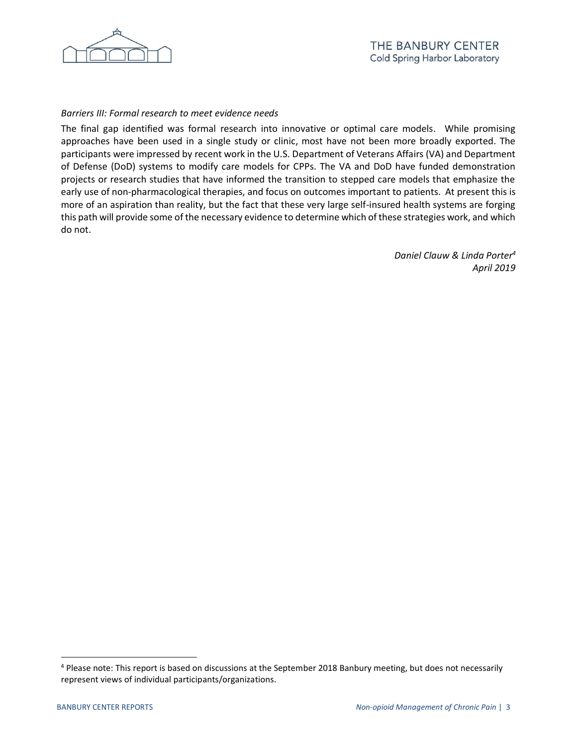

# *Barriers III: Formal research to meet evidence needs*

The final gap identified was formal research into innovative or optimal care models. While promising approaches have been used in a single study or clinic, most have not been more broadly exported. The participants were impressed by recent work in the U.S. Department of Veterans Affairs (VA) and Department of Defense (DoD) systems to modify care models for CPPs. The VA and DoD have funded demonstration projects or research studies that have informed the transition to stepped care models that emphasize the early use of non-pharmacological therapies, and focus on outcomes important to patients. At present this is more of an aspiration than reality, but the fact that these very large self-insured health systems are forging this path will provide some of the necessary evidence to determine which of these strategies work, and which do not.

> *Daniel Clauw & Linda Porter<sup>4</sup> April 2019*

 $\overline{a}$ 

<sup>4</sup> Please note: This report is based on discussions at the September 2018 Banbury meeting, but does not necessarily represent views of individual participants/organizations.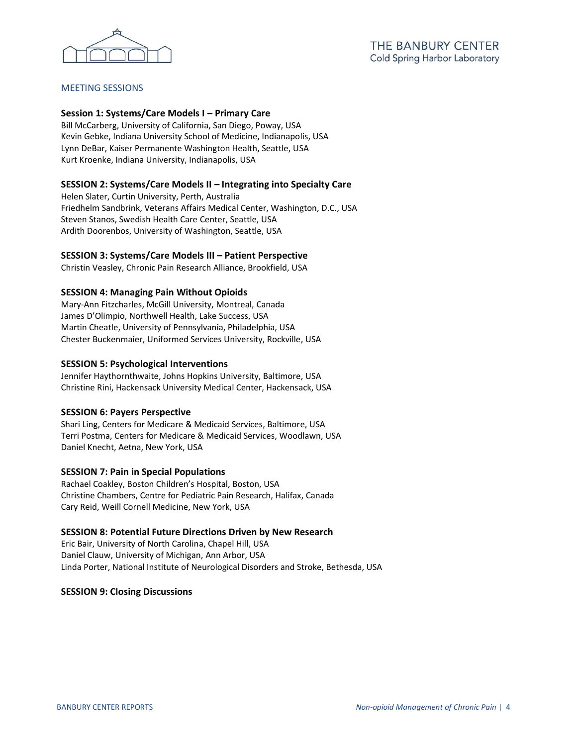

# MEETING SESSIONS

## **Session 1: Systems/Care Models I – Primary Care**

Bill McCarberg, University of California, San Diego, Poway, USA Kevin Gebke, Indiana University School of Medicine, Indianapolis, USA Lynn DeBar, Kaiser Permanente Washington Health, Seattle, USA Kurt Kroenke, Indiana University, Indianapolis, USA

## **SESSION 2: Systems/Care Models II – Integrating into Specialty Care**

Helen Slater, Curtin University, Perth, Australia Friedhelm Sandbrink, Veterans Affairs Medical Center, Washington, D.C., USA Steven Stanos, Swedish Health Care Center, Seattle, USA Ardith Doorenbos, University of Washington, Seattle, USA

## **SESSION 3: Systems/Care Models III – Patient Perspective**

Christin Veasley, Chronic Pain Research Alliance, Brookfield, USA

## **SESSION 4: Managing Pain Without Opioids**

Mary-Ann Fitzcharles, McGill University, Montreal, Canada James D'Olimpio, Northwell Health, Lake Success, USA Martin Cheatle, University of Pennsylvania, Philadelphia, USA Chester Buckenmaier, Uniformed Services University, Rockville, USA

#### **SESSION 5: Psychological Interventions**

Jennifer Haythornthwaite, Johns Hopkins University, Baltimore, USA Christine Rini, Hackensack University Medical Center, Hackensack, USA

#### **SESSION 6: Payers Perspective**

Shari Ling, Centers for Medicare & Medicaid Services, Baltimore, USA Terri Postma, Centers for Medicare & Medicaid Services, Woodlawn, USA Daniel Knecht, Aetna, New York, USA

#### **SESSION 7: Pain in Special Populations**

Rachael Coakley, Boston Children's Hospital, Boston, USA Christine Chambers, Centre for Pediatric Pain Research, Halifax, Canada Cary Reid, Weill Cornell Medicine, New York, USA

#### **SESSION 8: Potential Future Directions Driven by New Research**

Eric Bair, University of North Carolina, Chapel Hill, USA Daniel Clauw, University of Michigan, Ann Arbor, USA Linda Porter, National Institute of Neurological Disorders and Stroke, Bethesda, USA

#### **SESSION 9: Closing Discussions**